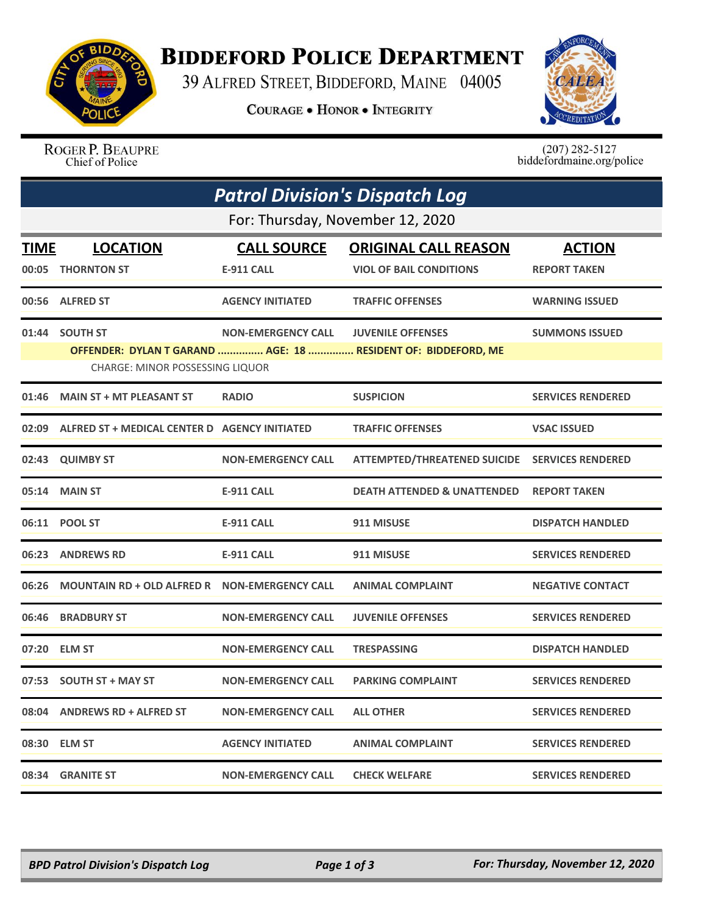

## **BIDDEFORD POLICE DEPARTMENT**

39 ALFRED STREET, BIDDEFORD, MAINE 04005

**COURAGE . HONOR . INTEGRITY** 



ROGER P. BEAUPRE Chief of Police

 $(207)$  282-5127<br>biddefordmaine.org/police

| <b>Patrol Division's Dispatch Log</b> |                                                     |                           |                                                               |                          |  |  |
|---------------------------------------|-----------------------------------------------------|---------------------------|---------------------------------------------------------------|--------------------------|--|--|
| For: Thursday, November 12, 2020      |                                                     |                           |                                                               |                          |  |  |
| <b>TIME</b>                           | <b>LOCATION</b>                                     | <b>CALL SOURCE</b>        | <b>ORIGINAL CALL REASON</b>                                   | <b>ACTION</b>            |  |  |
| 00:05                                 | <b>THORNTON ST</b>                                  | <b>E-911 CALL</b>         | <b>VIOL OF BAIL CONDITIONS</b>                                | <b>REPORT TAKEN</b>      |  |  |
|                                       | 00:56 ALFRED ST                                     | <b>AGENCY INITIATED</b>   | <b>TRAFFIC OFFENSES</b>                                       | <b>WARNING ISSUED</b>    |  |  |
|                                       | 01:44 SOUTH ST                                      | <b>NON-EMERGENCY CALL</b> | <b>JUVENILE OFFENSES</b>                                      | <b>SUMMONS ISSUED</b>    |  |  |
|                                       | CHARGE: MINOR POSSESSING LIQUOR                     |                           | OFFENDER: DYLAN T GARAND  AGE: 18  RESIDENT OF: BIDDEFORD, ME |                          |  |  |
| 01:46                                 | <b>MAIN ST + MT PLEASANT ST</b>                     | <b>RADIO</b>              | <b>SUSPICION</b>                                              | <b>SERVICES RENDERED</b> |  |  |
|                                       | 02:09 ALFRED ST + MEDICAL CENTER D AGENCY INITIATED |                           | <b>TRAFFIC OFFENSES</b>                                       | <b>VSAC ISSUED</b>       |  |  |
| 02:43                                 | <b>QUIMBY ST</b>                                    | <b>NON-EMERGENCY CALL</b> | ATTEMPTED/THREATENED SUICIDE SERVICES RENDERED                |                          |  |  |
|                                       | 05:14 MAIN ST                                       | <b>E-911 CALL</b>         | <b>DEATH ATTENDED &amp; UNATTENDED</b>                        | <b>REPORT TAKEN</b>      |  |  |
|                                       | 06:11 POOL ST                                       | <b>E-911 CALL</b>         | 911 MISUSE                                                    | <b>DISPATCH HANDLED</b>  |  |  |
|                                       | 06:23 ANDREWS RD                                    | <b>E-911 CALL</b>         | 911 MISUSE                                                    | <b>SERVICES RENDERED</b> |  |  |
| 06:26                                 | MOUNTAIN RD + OLD ALFRED R  NON-EMERGENCY CALL      |                           | <b>ANIMAL COMPLAINT</b>                                       | <b>NEGATIVE CONTACT</b>  |  |  |
| 06:46                                 | <b>BRADBURY ST</b>                                  | <b>NON-EMERGENCY CALL</b> | <b>JUVENILE OFFENSES</b>                                      | <b>SERVICES RENDERED</b> |  |  |
| 07:20                                 | <b>ELM ST</b>                                       | <b>NON-EMERGENCY CALL</b> | <b>TRESPASSING</b>                                            | <b>DISPATCH HANDLED</b>  |  |  |
| 07:53                                 | <b>SOUTH ST + MAY ST</b>                            | <b>NON-EMERGENCY CALL</b> | <b>PARKING COMPLAINT</b>                                      | <b>SERVICES RENDERED</b> |  |  |
|                                       | 08:04 ANDREWS RD + ALFRED ST                        | <b>NON-EMERGENCY CALL</b> | <b>ALL OTHER</b>                                              | <b>SERVICES RENDERED</b> |  |  |
|                                       | 08:30 ELM ST                                        | <b>AGENCY INITIATED</b>   | <b>ANIMAL COMPLAINT</b>                                       | <b>SERVICES RENDERED</b> |  |  |
|                                       | 08:34 GRANITE ST                                    | <b>NON-EMERGENCY CALL</b> | <b>CHECK WELFARE</b>                                          | <b>SERVICES RENDERED</b> |  |  |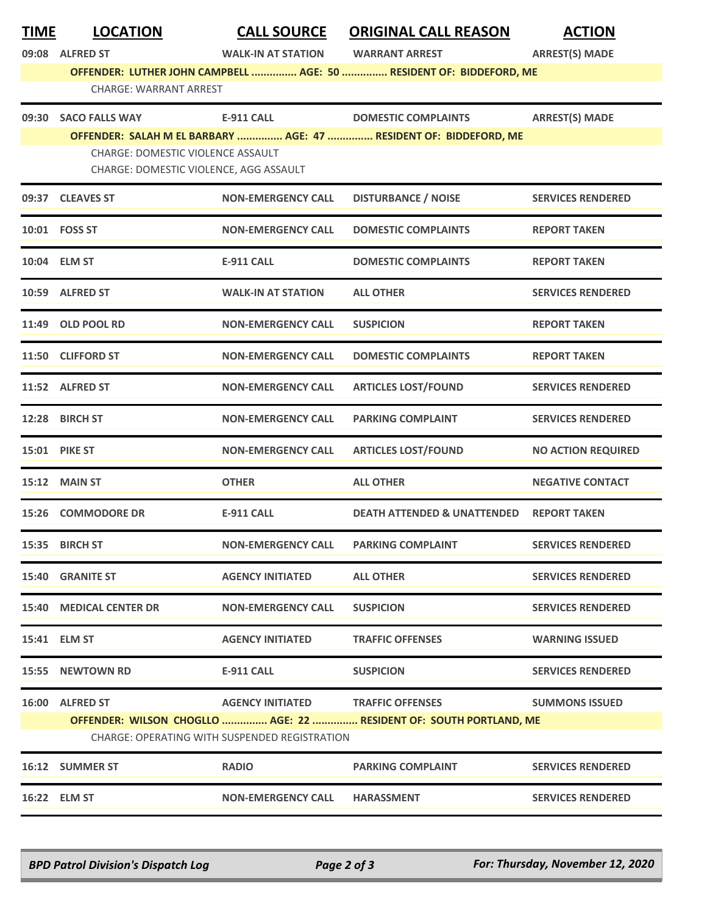| <b>TIME</b> | <b>LOCATION</b>                          | <b>CALL SOURCE</b>                            | <b>ORIGINAL CALL REASON</b>                                         | <b>ACTION</b>             |
|-------------|------------------------------------------|-----------------------------------------------|---------------------------------------------------------------------|---------------------------|
|             | 09:08 ALFRED ST                          | <b>WALK-IN AT STATION</b>                     | <b>WARRANT ARREST</b>                                               | <b>ARREST(S) MADE</b>     |
|             | <b>CHARGE: WARRANT ARREST</b>            |                                               | OFFENDER: LUTHER JOHN CAMPBELL  AGE: 50  RESIDENT OF: BIDDEFORD, ME |                           |
|             |                                          |                                               |                                                                     |                           |
|             | 09:30 SACO FALLS WAY                     | <b>E-911 CALL</b>                             | <b>DOMESTIC COMPLAINTS</b>                                          | <b>ARREST(S) MADE</b>     |
|             | <b>CHARGE: DOMESTIC VIOLENCE ASSAULT</b> |                                               | OFFENDER: SALAH M EL BARBARY  AGE: 47  RESIDENT OF: BIDDEFORD, ME   |                           |
|             | CHARGE: DOMESTIC VIOLENCE, AGG ASSAULT   |                                               |                                                                     |                           |
|             | 09:37 CLEAVES ST                         | <b>NON-EMERGENCY CALL</b>                     | <b>DISTURBANCE / NOISE</b>                                          | <b>SERVICES RENDERED</b>  |
|             | 10:01    FOSS ST                         | <b>NON-EMERGENCY CALL</b>                     | <b>DOMESTIC COMPLAINTS</b>                                          | <b>REPORT TAKEN</b>       |
|             | 10:04 ELM ST                             | <b>E-911 CALL</b>                             | <b>DOMESTIC COMPLAINTS</b>                                          | <b>REPORT TAKEN</b>       |
|             | 10:59 ALFRED ST                          | <b>WALK-IN AT STATION</b>                     | <b>ALL OTHER</b>                                                    | <b>SERVICES RENDERED</b>  |
|             | 11:49 OLD POOL RD                        | <b>NON-EMERGENCY CALL</b>                     | <b>SUSPICION</b>                                                    | <b>REPORT TAKEN</b>       |
|             | 11:50 CLIFFORD ST                        | <b>NON-EMERGENCY CALL</b>                     | <b>DOMESTIC COMPLAINTS</b>                                          | <b>REPORT TAKEN</b>       |
|             | 11:52 ALFRED ST                          | <b>NON-EMERGENCY CALL</b>                     | <b>ARTICLES LOST/FOUND</b>                                          | <b>SERVICES RENDERED</b>  |
|             | 12:28 BIRCH ST                           | <b>NON-EMERGENCY CALL</b>                     | <b>PARKING COMPLAINT</b>                                            | <b>SERVICES RENDERED</b>  |
| 15:01       | <b>PIKE ST</b>                           | <b>NON-EMERGENCY CALL</b>                     | <b>ARTICLES LOST/FOUND</b>                                          | <b>NO ACTION REQUIRED</b> |
|             | 15:12 MAIN ST                            | <b>OTHER</b>                                  | <b>ALL OTHER</b>                                                    | <b>NEGATIVE CONTACT</b>   |
|             | 15:26 COMMODORE DR                       | <b>E-911 CALL</b>                             | <b>DEATH ATTENDED &amp; UNATTENDED</b>                              | <b>REPORT TAKEN</b>       |
|             | 15:35 BIRCH ST                           | <b>NON-EMERGENCY CALL</b>                     | <b>PARKING COMPLAINT</b>                                            | <b>SERVICES RENDERED</b>  |
|             | 15:40 GRANITE ST                         | <b>AGENCY INITIATED</b>                       | <b>ALL OTHER</b>                                                    | <b>SERVICES RENDERED</b>  |
|             | 15:40 MEDICAL CENTER DR                  | <b>NON-EMERGENCY CALL</b>                     | <b>SUSPICION</b>                                                    | <b>SERVICES RENDERED</b>  |
|             | 15:41 ELM ST                             | <b>AGENCY INITIATED</b>                       | <b>TRAFFIC OFFENSES</b>                                             | <b>WARNING ISSUED</b>     |
|             | 15:55 NEWTOWN RD                         | <b>E-911 CALL</b>                             | <b>SUSPICION</b>                                                    | <b>SERVICES RENDERED</b>  |
|             | 16:00 ALFRED ST                          | <b>AGENCY INITIATED</b>                       | <b>TRAFFIC OFFENSES</b>                                             | <b>SUMMONS ISSUED</b>     |
|             |                                          |                                               | OFFENDER: WILSON CHOGLLO  AGE: 22  RESIDENT OF: SOUTH PORTLAND, ME  |                           |
|             |                                          | CHARGE: OPERATING WITH SUSPENDED REGISTRATION |                                                                     |                           |
|             | 16:12 SUMMER ST                          | <b>RADIO</b>                                  | <b>PARKING COMPLAINT</b>                                            | <b>SERVICES RENDERED</b>  |
|             | 16:22 ELM ST                             | <b>NON-EMERGENCY CALL</b>                     | <b>HARASSMENT</b>                                                   | <b>SERVICES RENDERED</b>  |

*BPD Patrol Division's Dispatch Log Page 2 of 3 For: Thursday, November 12, 2020*